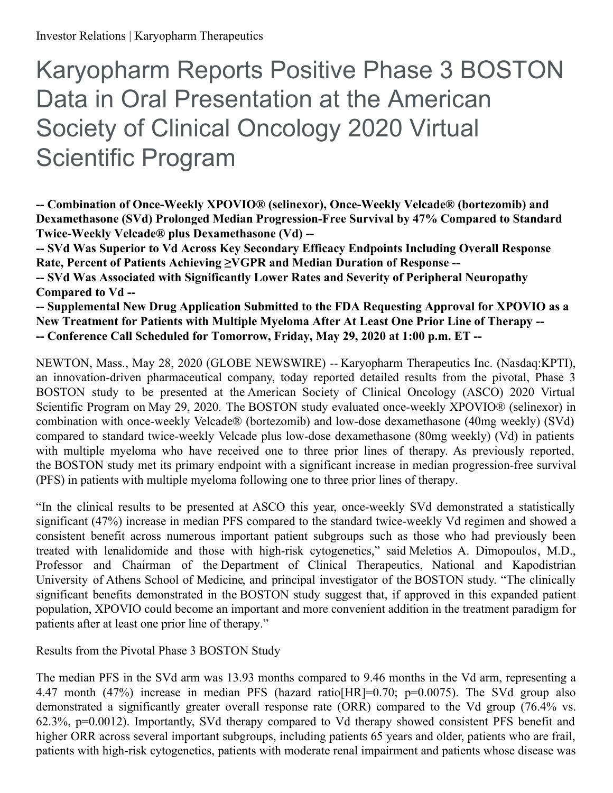# Karyopharm Reports Positive Phase 3 BOSTON Data in Oral Presentation at the American Society of Clinical Oncology 2020 Virtual Scientific Program

**-- Combination of Once-Weekly XPOVIO® (selinexor), Once-Weekly Velcade® (bortezomib) and Dexamethasone (SVd) Prolonged Median Progression-Free Survival by 47% Compared to Standard Twice-Weekly Velcade® plus Dexamethasone (Vd) --**

**-- SVd Was Superior to Vd Across Key Secondary Efficacy Endpoints Including Overall Response Rate, Percent of Patients Achieving ≥VGPR and Median Duration of Response --**

**-- SVd Was Associated with Significantly Lower Rates and Severity of Peripheral Neuropathy Compared to Vd --**

**-- Supplemental New Drug Application Submitted to the FDA Requesting Approval for XPOVIO as a New Treatment for Patients with Multiple Myeloma After At Least One Prior Line of Therapy -- -- Conference Call Scheduled for Tomorrow, Friday, May 29, 2020 at 1:00 p.m. ET --**

NEWTON, Mass., May 28, 2020 (GLOBE NEWSWIRE) -- Karyopharm Therapeutics Inc. (Nasdaq:KPTI), an innovation-driven pharmaceutical company, today reported detailed results from the pivotal, Phase 3 BOSTON study to be presented at the American Society of Clinical Oncology (ASCO) 2020 Virtual Scientific Program on May 29, 2020. The BOSTON study evaluated once-weekly XPOVIO® (selinexor) in combination with once-weekly Velcade® (bortezomib) and low-dose dexamethasone (40mg weekly) (SVd) compared to standard twice-weekly Velcade plus low-dose dexamethasone (80mg weekly) (Vd) in patients with multiple myeloma who have received one to three prior lines of therapy. As previously reported, the BOSTON study met its primary endpoint with a significant increase in median progression-free survival (PFS) in patients with multiple myeloma following one to three prior lines of therapy.

"In the clinical results to be presented at ASCO this year, once-weekly SVd demonstrated a statistically significant (47%) increase in median PFS compared to the standard twice-weekly Vd regimen and showed a consistent benefit across numerous important patient subgroups such as those who had previously been treated with lenalidomide and those with high-risk cytogenetics," said Meletios A. Dimopoulos, M.D., Professor and Chairman of the Department of Clinical Therapeutics, National and Kapodistrian University of Athens School of Medicine, and principal investigator of the BOSTON study. "The clinically significant benefits demonstrated in the BOSTON study suggest that, if approved in this expanded patient population, XPOVIO could become an important and more convenient addition in the treatment paradigm for patients after at least one prior line of therapy."

Results from the Pivotal Phase 3 BOSTON Study

The median PFS in the SVd arm was 13.93 months compared to 9.46 months in the Vd arm, representing a 4.47 month (47%) increase in median PFS (hazard ratio[HR]=0.70; p=0.0075). The SVd group also demonstrated a significantly greater overall response rate (ORR) compared to the Vd group (76.4% vs. 62.3%, p=0.0012). Importantly, SVd therapy compared to Vd therapy showed consistent PFS benefit and higher ORR across several important subgroups, including patients 65 years and older, patients who are frail, patients with high-risk cytogenetics, patients with moderate renal impairment and patients whose disease was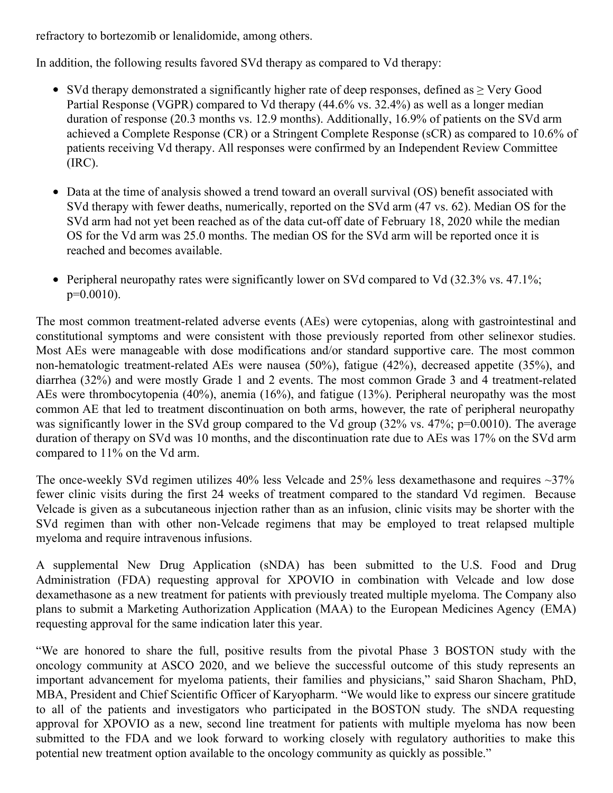refractory to bortezomib or lenalidomide, among others.

In addition, the following results favored SVd therapy as compared to Vd therapy:

- SVd therapy demonstrated a significantly higher rate of deep responses, defined as  $\geq$  Very Good Partial Response (VGPR) compared to Vd therapy (44.6% vs. 32.4%) as well as a longer median duration of response (20.3 months vs. 12.9 months). Additionally, 16.9% of patients on the SVd arm achieved a Complete Response (CR) or a Stringent Complete Response (sCR) as compared to 10.6% of patients receiving Vd therapy. All responses were confirmed by an Independent Review Committee (IRC).
- Data at the time of analysis showed a trend toward an overall survival (OS) benefit associated with SVd therapy with fewer deaths, numerically, reported on the SVd arm (47 vs. 62). Median OS for the SVd arm had not yet been reached as of the data cut-off date of February 18, 2020 while the median OS for the Vd arm was 25.0 months. The median OS for the SVd arm will be reported once it is reached and becomes available.
- Peripheral neuropathy rates were significantly lower on SVd compared to Vd (32.3% vs. 47.1%;  $p=0.0010$ ).

The most common treatment-related adverse events (AEs) were cytopenias, along with gastrointestinal and constitutional symptoms and were consistent with those previously reported from other selinexor studies. Most AEs were manageable with dose modifications and/or standard supportive care. The most common non-hematologic treatment-related AEs were nausea (50%), fatigue (42%), decreased appetite (35%), and diarrhea (32%) and were mostly Grade 1 and 2 events. The most common Grade 3 and 4 treatment-related AEs were thrombocytopenia (40%), anemia (16%), and fatigue (13%). Peripheral neuropathy was the most common AE that led to treatment discontinuation on both arms, however, the rate of peripheral neuropathy was significantly lower in the SVd group compared to the Vd group (32% vs. 47%; p=0.0010). The average duration of therapy on SVd was 10 months, and the discontinuation rate due to AEs was 17% on the SVd arm compared to 11% on the Vd arm.

The once-weekly SVd regimen utilizes  $40\%$  less Velcade and  $25\%$  less dexamethasone and requires  $\sim$ 37% fewer clinic visits during the first 24 weeks of treatment compared to the standard Vd regimen. Because Velcade is given as a subcutaneous injection rather than as an infusion, clinic visits may be shorter with the SVd regimen than with other non-Velcade regimens that may be employed to treat relapsed multiple myeloma and require intravenous infusions.

A supplemental New Drug Application (sNDA) has been submitted to the U.S. Food and Drug Administration (FDA) requesting approval for XPOVIO in combination with Velcade and low dose dexamethasone as a new treatment for patients with previously treated multiple myeloma. The Company also plans to submit a Marketing Authorization Application (MAA) to the European Medicines Agency (EMA) requesting approval for the same indication later this year.

"We are honored to share the full, positive results from the pivotal Phase 3 BOSTON study with the oncology community at ASCO 2020, and we believe the successful outcome of this study represents an important advancement for myeloma patients, their families and physicians," said Sharon Shacham, PhD, MBA, President and Chief Scientific Officer of Karyopharm. "We would like to express our sincere gratitude to all of the patients and investigators who participated in the BOSTON study. The sNDA requesting approval for XPOVIO as a new, second line treatment for patients with multiple myeloma has now been submitted to the FDA and we look forward to working closely with regulatory authorities to make this potential new treatment option available to the oncology community as quickly as possible."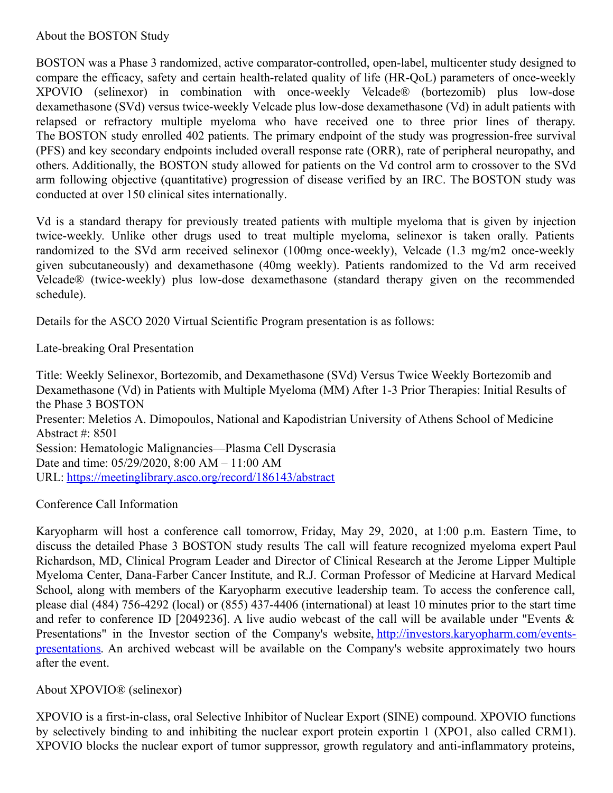About the BOSTON Study

BOSTON was a Phase 3 randomized, active comparator-controlled, open-label, multicenter study designed to compare the efficacy, safety and certain health-related quality of life (HR-QoL) parameters of once-weekly XPOVIO (selinexor) in combination with once-weekly Velcade® (bortezomib) plus low-dose dexamethasone (SVd) versus twice-weekly Velcade plus low-dose dexamethasone (Vd) in adult patients with relapsed or refractory multiple myeloma who have received one to three prior lines of therapy. The BOSTON study enrolled 402 patients. The primary endpoint of the study was progression-free survival (PFS) and key secondary endpoints included overall response rate (ORR), rate of peripheral neuropathy, and others. Additionally, the BOSTON study allowed for patients on the Vd control arm to crossover to the SVd arm following objective (quantitative) progression of disease verified by an IRC. The BOSTON study was conducted at over 150 clinical sites internationally.

Vd is a standard therapy for previously treated patients with multiple myeloma that is given by injection twice-weekly. Unlike other drugs used to treat multiple myeloma, selinexor is taken orally. Patients randomized to the SVd arm received selinexor (100mg once-weekly), Velcade (1.3 mg/m2 once-weekly given subcutaneously) and dexamethasone (40mg weekly). Patients randomized to the Vd arm received Velcade® (twice-weekly) plus low-dose dexamethasone (standard therapy given on the recommended schedule).

Details for the ASCO 2020 Virtual Scientific Program presentation is as follows:

Late-breaking Oral Presentation

Title: Weekly Selinexor, Bortezomib, and Dexamethasone (SVd) Versus Twice Weekly Bortezomib and Dexamethasone (Vd) in Patients with Multiple Myeloma (MM) After 1-3 Prior Therapies: Initial Results of the Phase 3 BOSTON Presenter: Meletios A. Dimopoulos, National and Kapodistrian University of Athens School of Medicine Abstract #: 8501 Session: Hematologic Malignancies—Plasma Cell Dyscrasia Date and time: 05/29/2020, 8:00 AM – 11:00 AM URL: [https://meetinglibrary.asco.org/record/186143/abstract](https://www.globenewswire.com/Tracker?data=sDqpk-YM7ud9gmCTqWYb5dHsgetF0ddJVTOsF4KrEn-CeLRBu9_mbmnV7hXGF7XMdLOzVjeFCeb38lh4xSJeP_hHY6dGfH6PkdQa-dMAMFRL1AB5xCrD4uRVArrHrLv5BIvNYAuKtHk9ftzkCyPTjPLyaaAV4VZBCNo8rn5rZ3tMEQrlRr-YJst4zoQceGl5)

Conference Call Information

Karyopharm will host a conference call tomorrow, Friday, May 29, 2020, at 1:00 p.m. Eastern Time, to discuss the detailed Phase 3 BOSTON study results The call will feature recognized myeloma expert Paul Richardson, MD, Clinical Program Leader and Director of Clinical Research at the Jerome Lipper Multiple Myeloma Center, Dana-Farber Cancer Institute, and R.J. Corman Professor of Medicine at Harvard Medical School, along with members of the Karyopharm executive leadership team. To access the conference call, please dial (484) 756-4292 (local) or (855) 437-4406 (international) at least 10 minutes prior to the start time and refer to conference ID [2049236]. A live audio webcast of the call will be available under "Events & Presentations" in the Investor section of the Company's website, [http://investors.karyopharm.com/events](https://www.globenewswire.com/Tracker?data=1R9uAztRCFAzCh6ubFIA9RffQSn9yfZfNmDtu4___8tTHMoIQK3QfSgQGs9FKGMDKiI408fLa4vBqkahuTWCS624NLUaY8I8gQfFkYdqJpKasn778uW63oycpMXScZNBMfNLt71n-ic59Ow08hWUA-jO0QfM-JsY-jz0CZAsQCQ=)presentations. An archived webcast will be available on the Company's website approximately two hours after the event.

About XPOVIO® (selinexor)

XPOVIO is a first-in-class, oral Selective Inhibitor of Nuclear Export (SINE) compound. XPOVIO functions by selectively binding to and inhibiting the nuclear export protein exportin 1 (XPO1, also called CRM1). XPOVIO blocks the nuclear export of tumor suppressor, growth regulatory and anti-inflammatory proteins,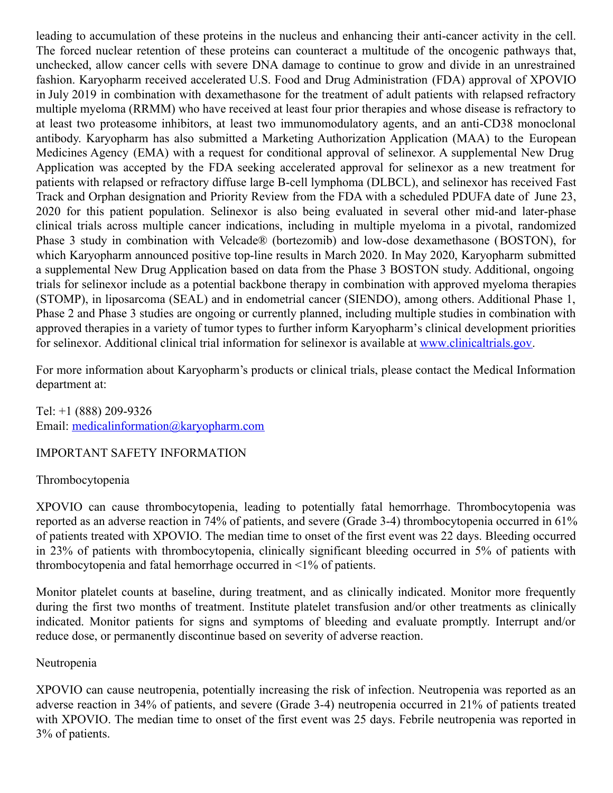leading to accumulation of these proteins in the nucleus and enhancing their anti-cancer activity in the cell. The forced nuclear retention of these proteins can counteract a multitude of the oncogenic pathways that, unchecked, allow cancer cells with severe DNA damage to continue to grow and divide in an unrestrained fashion. Karyopharm received accelerated U.S. Food and Drug Administration (FDA) approval of XPOVIO in July 2019 in combination with dexamethasone for the treatment of adult patients with relapsed refractory multiple myeloma (RRMM) who have received at least four prior therapies and whose disease is refractory to at least two proteasome inhibitors, at least two immunomodulatory agents, and an anti-CD38 monoclonal antibody. Karyopharm has also submitted a Marketing Authorization Application (MAA) to the European Medicines Agency (EMA) with a request for conditional approval of selinexor. A supplemental New Drug Application was accepted by the FDA seeking accelerated approval for selinexor as a new treatment for patients with relapsed or refractory diffuse large B-cell lymphoma (DLBCL), and selinexor has received Fast Track and Orphan designation and Priority Review from the FDA with a scheduled PDUFA date of June 23, 2020 for this patient population. Selinexor is also being evaluated in several other mid-and later-phase clinical trials across multiple cancer indications, including in multiple myeloma in a pivotal, randomized Phase 3 study in combination with Velcade® (bortezomib) and low-dose dexamethasone (BOSTON), for which Karyopharm announced positive top-line results in March 2020. In May 2020, Karyopharm submitted a supplemental New Drug Application based on data from the Phase 3 BOSTON study. Additional, ongoing trials for selinexor include as a potential backbone therapy in combination with approved myeloma therapies (STOMP), in liposarcoma (SEAL) and in endometrial cancer (SIENDO), among others. Additional Phase 1, Phase 2 and Phase 3 studies are ongoing or currently planned, including multiple studies in combination with approved therapies in a variety of tumor types to further inform Karyopharm's clinical development priorities for selinexor. Additional clinical trial information for selinexor is available at [www.clinicaltrials.gov](http://www.clinicaltrials.gov/).

For more information about Karyopharm's products or clinical trials, please contact the Medical Information department at:

Tel: +1 (888) 209-9326 Email: [medicalinformation@karyopharm.com](https://www.globenewswire.com/Tracker?data=glwJVZNYiEDZIhLOmbdWpVmLuSOS9q1XhVMaZy2Dmqo4Ty2Gwi_Fplybs2ArpK7uj_9RPrgqbsCZUrd0xmnoJ-tmziA1zYei04e77peWA7NkmeRH2GlQH8FhZVwajSTa)

### IMPORTANT SAFETY INFORMATION

### Thrombocytopenia

XPOVIO can cause thrombocytopenia, leading to potentially fatal hemorrhage. Thrombocytopenia was reported as an adverse reaction in 74% of patients, and severe (Grade 3-4) thrombocytopenia occurred in 61% of patients treated with XPOVIO. The median time to onset of the first event was 22 days. Bleeding occurred in 23% of patients with thrombocytopenia, clinically significant bleeding occurred in 5% of patients with thrombocytopenia and fatal hemorrhage occurred in <1% of patients.

Monitor platelet counts at baseline, during treatment, and as clinically indicated. Monitor more frequently during the first two months of treatment. Institute platelet transfusion and/or other treatments as clinically indicated. Monitor patients for signs and symptoms of bleeding and evaluate promptly. Interrupt and/or reduce dose, or permanently discontinue based on severity of adverse reaction.

### Neutropenia

XPOVIO can cause neutropenia, potentially increasing the risk of infection. Neutropenia was reported as an adverse reaction in 34% of patients, and severe (Grade 3-4) neutropenia occurred in 21% of patients treated with XPOVIO. The median time to onset of the first event was 25 days. Febrile neutropenia was reported in 3% of patients.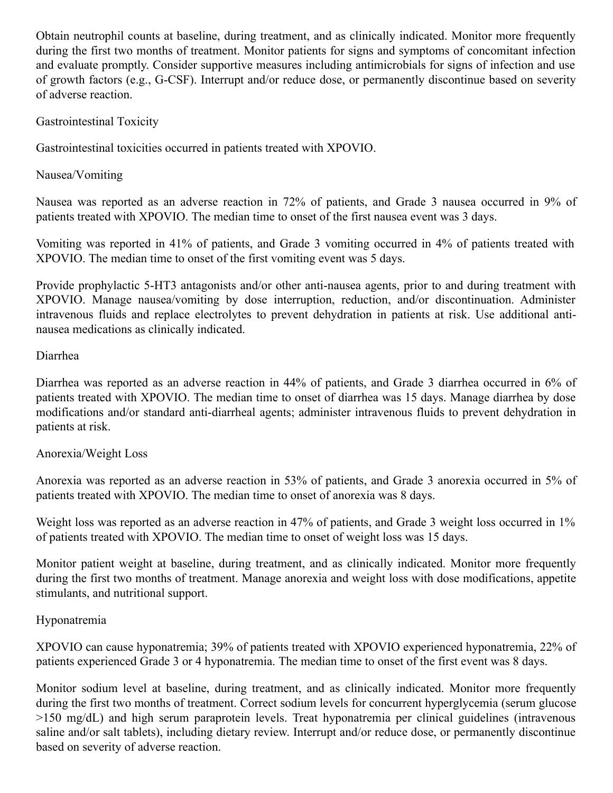Obtain neutrophil counts at baseline, during treatment, and as clinically indicated. Monitor more frequently during the first two months of treatment. Monitor patients for signs and symptoms of concomitant infection and evaluate promptly. Consider supportive measures including antimicrobials for signs of infection and use of growth factors (e.g., G-CSF). Interrupt and/or reduce dose, or permanently discontinue based on severity of adverse reaction.

# Gastrointestinal Toxicity

Gastrointestinal toxicities occurred in patients treated with XPOVIO.

Nausea/Vomiting

Nausea was reported as an adverse reaction in 72% of patients, and Grade 3 nausea occurred in 9% of patients treated with XPOVIO. The median time to onset of the first nausea event was 3 days.

Vomiting was reported in 41% of patients, and Grade 3 vomiting occurred in 4% of patients treated with XPOVIO. The median time to onset of the first vomiting event was 5 days.

Provide prophylactic 5-HT3 antagonists and/or other anti-nausea agents, prior to and during treatment with XPOVIO. Manage nausea/vomiting by dose interruption, reduction, and/or discontinuation. Administer intravenous fluids and replace electrolytes to prevent dehydration in patients at risk. Use additional antinausea medications as clinically indicated.

# Diarrhea

Diarrhea was reported as an adverse reaction in 44% of patients, and Grade 3 diarrhea occurred in 6% of patients treated with XPOVIO. The median time to onset of diarrhea was 15 days. Manage diarrhea by dose modifications and/or standard anti-diarrheal agents; administer intravenous fluids to prevent dehydration in patients at risk.

### Anorexia/Weight Loss

Anorexia was reported as an adverse reaction in 53% of patients, and Grade 3 anorexia occurred in 5% of patients treated with XPOVIO. The median time to onset of anorexia was 8 days.

Weight loss was reported as an adverse reaction in 47% of patients, and Grade 3 weight loss occurred in 1% of patients treated with XPOVIO. The median time to onset of weight loss was 15 days.

Monitor patient weight at baseline, during treatment, and as clinically indicated. Monitor more frequently during the first two months of treatment. Manage anorexia and weight loss with dose modifications, appetite stimulants, and nutritional support.

### Hyponatremia

XPOVIO can cause hyponatremia; 39% of patients treated with XPOVIO experienced hyponatremia, 22% of patients experienced Grade 3 or 4 hyponatremia. The median time to onset of the first event was 8 days.

Monitor sodium level at baseline, during treatment, and as clinically indicated. Monitor more frequently during the first two months of treatment. Correct sodium levels for concurrent hyperglycemia (serum glucose >150 mg/dL) and high serum paraprotein levels. Treat hyponatremia per clinical guidelines (intravenous saline and/or salt tablets), including dietary review. Interrupt and/or reduce dose, or permanently discontinue based on severity of adverse reaction.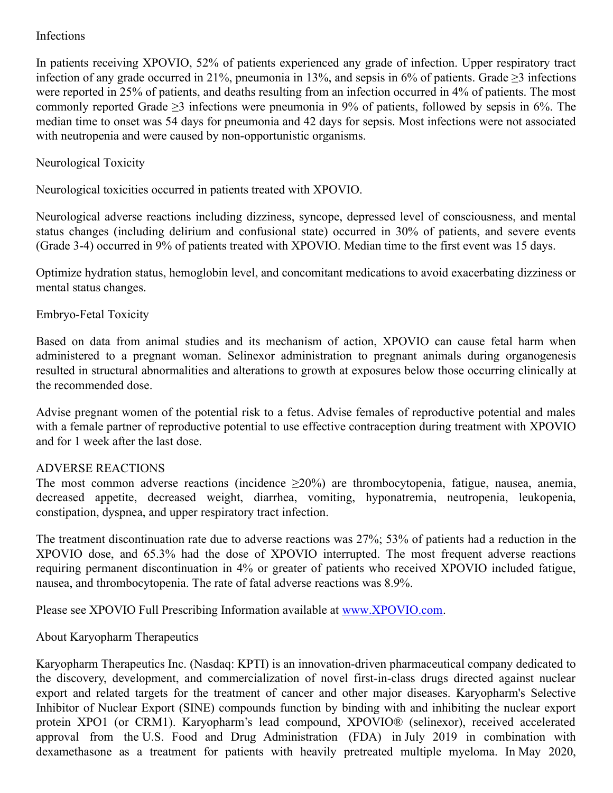# Infections

In patients receiving XPOVIO, 52% of patients experienced any grade of infection. Upper respiratory tract infection of any grade occurred in 21%, pneumonia in 13%, and sepsis in 6% of patients. Grade  $\geq 3$  infections were reported in 25% of patients, and deaths resulting from an infection occurred in 4% of patients. The most commonly reported Grade  $\geq$ 3 infections were pneumonia in 9% of patients, followed by sepsis in 6%. The median time to onset was 54 days for pneumonia and 42 days for sepsis. Most infections were not associated with neutropenia and were caused by non-opportunistic organisms.

# Neurological Toxicity

Neurological toxicities occurred in patients treated with XPOVIO.

Neurological adverse reactions including dizziness, syncope, depressed level of consciousness, and mental status changes (including delirium and confusional state) occurred in 30% of patients, and severe events (Grade 3-4) occurred in 9% of patients treated with XPOVIO. Median time to the first event was 15 days.

Optimize hydration status, hemoglobin level, and concomitant medications to avoid exacerbating dizziness or mental status changes.

### Embryo-Fetal Toxicity

Based on data from animal studies and its mechanism of action, XPOVIO can cause fetal harm when administered to a pregnant woman. Selinexor administration to pregnant animals during organogenesis resulted in structural abnormalities and alterations to growth at exposures below those occurring clinically at the recommended dose.

Advise pregnant women of the potential risk to a fetus. Advise females of reproductive potential and males with a female partner of reproductive potential to use effective contraception during treatment with XPOVIO and for 1 week after the last dose.

### ADVERSE REACTIONS

The most common adverse reactions (incidence  $\geq 20\%$ ) are thrombocytopenia, fatigue, nausea, anemia, decreased appetite, decreased weight, diarrhea, vomiting, hyponatremia, neutropenia, leukopenia, constipation, dyspnea, and upper respiratory tract infection.

The treatment discontinuation rate due to adverse reactions was 27%; 53% of patients had a reduction in the XPOVIO dose, and 65.3% had the dose of XPOVIO interrupted. The most frequent adverse reactions requiring permanent discontinuation in 4% or greater of patients who received XPOVIO included fatigue, nausea, and thrombocytopenia. The rate of fatal adverse reactions was 8.9%.

Please see XPOVIO Full Prescribing Information available at [www.XPOVIO.com](https://www.globenewswire.com/Tracker?data=GnBu0IBP20kd2kwY7cpu7t50kTaNHkCAHvM7WiIJ8k28GLPJcDd8GmPvhVGbT-RJcWkS6aJ11-PNPAXdV4LAkqzseCCJVSMfjuDR7E0VXiBk693-8xp_ghmx6iuX3qRw9RWV4yL80SFJUW5He3Y7qp0seG2TJdrufzlBLE7nrbuQPMEEC8ATEi_1MoOjcscg1KQVzewmMd-tLWDRQY3VR8tIlC9SLNZ2kMS7iflbZCw=).

About Karyopharm Therapeutics

Karyopharm Therapeutics Inc. (Nasdaq: KPTI) is an innovation-driven pharmaceutical company dedicated to the discovery, development, and commercialization of novel first-in-class drugs directed against nuclear export and related targets for the treatment of cancer and other major diseases. Karyopharm's Selective Inhibitor of Nuclear Export (SINE) compounds function by binding with and inhibiting the nuclear export protein XPO1 (or CRM1). Karyopharm's lead compound, XPOVIO® (selinexor), received accelerated approval from the U.S. Food and Drug Administration (FDA) in July 2019 in combination with dexamethasone as a treatment for patients with heavily pretreated multiple myeloma. In May 2020,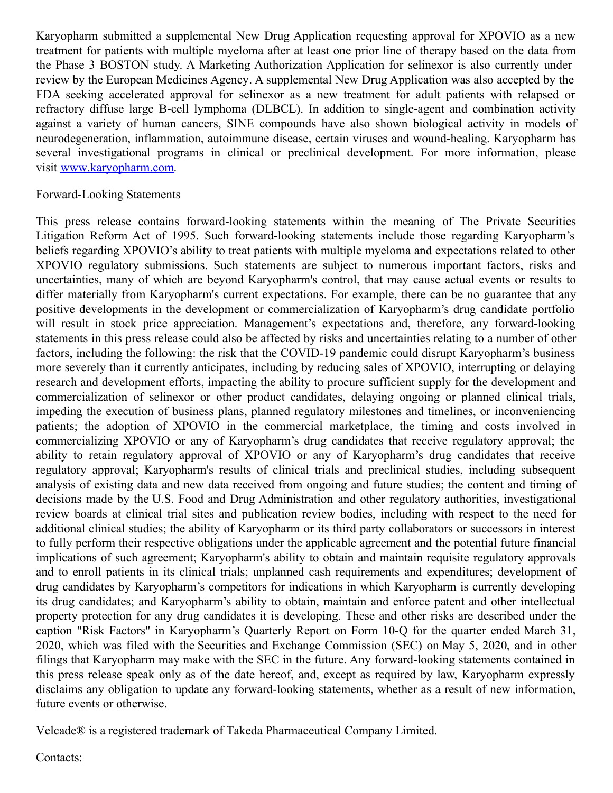Karyopharm submitted a supplemental New Drug Application requesting approval for XPOVIO as a new treatment for patients with multiple myeloma after at least one prior line of therapy based on the data from the Phase 3 BOSTON study. A Marketing Authorization Application for selinexor is also currently under review by the European Medicines Agency. A supplemental New Drug Application was also accepted by the FDA seeking accelerated approval for selinexor as a new treatment for adult patients with relapsed or refractory diffuse large B-cell lymphoma (DLBCL). In addition to single-agent and combination activity against a variety of human cancers, SINE compounds have also shown biological activity in models of neurodegeneration, inflammation, autoimmune disease, certain viruses and wound-healing. Karyopharm has several investigational programs in clinical or preclinical development. For more information, please visit [www.karyopharm.com](https://www.globenewswire.com/Tracker?data=ZIFvZ5Au6cMFsevp9MbiE4Ij7IpSuKNFncnb7Ne-xZ59MPUzKjjnhr5k2GvdlKGp8Oiotip4HUJVKC1_U8DlwvgoSAglCD2G5Qh_I_Msfuk=).

#### Forward-Looking Statements

This press release contains forward-looking statements within the meaning of The Private Securities Litigation Reform Act of 1995. Such forward-looking statements include those regarding Karyopharm's beliefs regarding XPOVIO's ability to treat patients with multiple myeloma and expectations related to other XPOVIO regulatory submissions. Such statements are subject to numerous important factors, risks and uncertainties, many of which are beyond Karyopharm's control, that may cause actual events or results to differ materially from Karyopharm's current expectations. For example, there can be no guarantee that any positive developments in the development or commercialization of Karyopharm's drug candidate portfolio will result in stock price appreciation. Management's expectations and, therefore, any forward-looking statements in this press release could also be affected by risks and uncertainties relating to a number of other factors, including the following: the risk that the COVID-19 pandemic could disrupt Karyopharm's business more severely than it currently anticipates, including by reducing sales of XPOVIO, interrupting or delaying research and development efforts, impacting the ability to procure sufficient supply for the development and commercialization of selinexor or other product candidates, delaying ongoing or planned clinical trials, impeding the execution of business plans, planned regulatory milestones and timelines, or inconveniencing patients; the adoption of XPOVIO in the commercial marketplace, the timing and costs involved in commercializing XPOVIO or any of Karyopharm's drug candidates that receive regulatory approval; the ability to retain regulatory approval of XPOVIO or any of Karyopharm's drug candidates that receive regulatory approval; Karyopharm's results of clinical trials and preclinical studies, including subsequent analysis of existing data and new data received from ongoing and future studies; the content and timing of decisions made by the U.S. Food and Drug Administration and other regulatory authorities, investigational review boards at clinical trial sites and publication review bodies, including with respect to the need for additional clinical studies; the ability of Karyopharm or its third party collaborators or successors in interest to fully perform their respective obligations under the applicable agreement and the potential future financial implications of such agreement; Karyopharm's ability to obtain and maintain requisite regulatory approvals and to enroll patients in its clinical trials; unplanned cash requirements and expenditures; development of drug candidates by Karyopharm's competitors for indications in which Karyopharm is currently developing its drug candidates; and Karyopharm's ability to obtain, maintain and enforce patent and other intellectual property protection for any drug candidates it is developing. These and other risks are described under the caption "Risk Factors" in Karyopharm's Quarterly Report on Form 10-Q for the quarter ended March 31, 2020, which was filed with the Securities and Exchange Commission (SEC) on May 5, 2020, and in other filings that Karyopharm may make with the SEC in the future. Any forward-looking statements contained in this press release speak only as of the date hereof, and, except as required by law, Karyopharm expressly disclaims any obligation to update any forward-looking statements, whether as a result of new information, future events or otherwise.

Velcade® is a registered trademark of Takeda Pharmaceutical Company Limited.

Contacts: